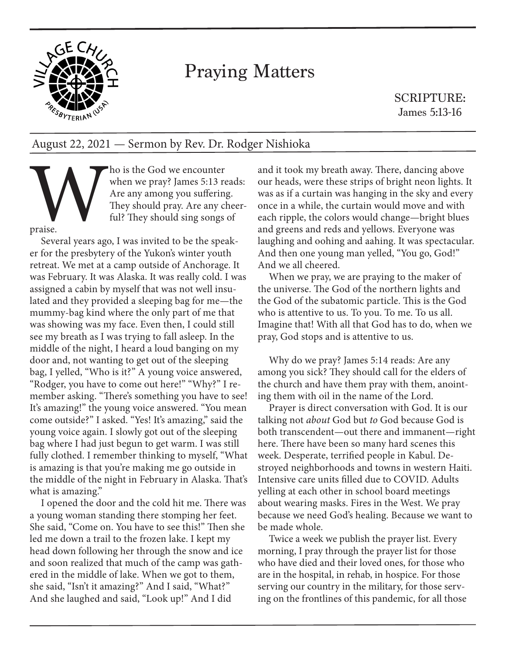

## Praying Matters

SCRIPTURE: James 5:13-16

## August 22, 2021 — Sermon by Rev. Dr. Rodger Nishioka

The state God we encounter<br>
When we pray? James 5:13 re<br>
Are any among you suffering<br>
They should pray. Are any cl<br>
ful? They should sing songs<br>
praise.<br>
Several vears ago. I was invited to be the spea when we pray? James 5:13 reads: Are any among you suffering. They should pray. Are any cheerful? They should sing songs of

praise.

Several years ago, I was invited to be the speaker for the presbytery of the Yukon's winter youth retreat. We met at a camp outside of Anchorage. It was February. It was Alaska. It was really cold. I was assigned a cabin by myself that was not well insulated and they provided a sleeping bag for me—the mummy-bag kind where the only part of me that was showing was my face. Even then, I could still see my breath as I was trying to fall asleep. In the middle of the night, I heard a loud banging on my door and, not wanting to get out of the sleeping bag, I yelled, "Who is it?" A young voice answered, "Rodger, you have to come out here!" "Why?" I remember asking. "There's something you have to see! It's amazing!" the young voice answered. "You mean come outside?" I asked. "Yes! It's amazing," said the young voice again. I slowly got out of the sleeping bag where I had just begun to get warm. I was still fully clothed. I remember thinking to myself, "What is amazing is that you're making me go outside in the middle of the night in February in Alaska. That's what is amazing."

I opened the door and the cold hit me. There was a young woman standing there stomping her feet. She said, "Come on. You have to see this!" Then she led me down a trail to the frozen lake. I kept my head down following her through the snow and ice and soon realized that much of the camp was gathered in the middle of lake. When we got to them, she said, "Isn't it amazing?" And I said, "What?" And she laughed and said, "Look up!" And I did

and it took my breath away. There, dancing above our heads, were these strips of bright neon lights. It was as if a curtain was hanging in the sky and every once in a while, the curtain would move and with each ripple, the colors would change—bright blues and greens and reds and yellows. Everyone was laughing and oohing and aahing. It was spectacular. And then one young man yelled, "You go, God!" And we all cheered.

When we pray, we are praying to the maker of the universe. The God of the northern lights and the God of the subatomic particle. This is the God who is attentive to us. To you. To me. To us all. Imagine that! With all that God has to do, when we pray, God stops and is attentive to us.

Why do we pray? James 5:14 reads: Are any among you sick? They should call for the elders of the church and have them pray with them, anointing them with oil in the name of the Lord.

Prayer is direct conversation with God. It is our talking not *about* God but *to* God because God is both transcendent—out there and immanent—right here. There have been so many hard scenes this week. Desperate, terrified people in Kabul. Destroyed neighborhoods and towns in western Haiti. Intensive care units filled due to COVID. Adults yelling at each other in school board meetings about wearing masks. Fires in the West. We pray because we need God's healing. Because we want to be made whole.

Twice a week we publish the prayer list. Every morning, I pray through the prayer list for those who have died and their loved ones, for those who are in the hospital, in rehab, in hospice. For those serving our country in the military, for those serving on the frontlines of this pandemic, for all those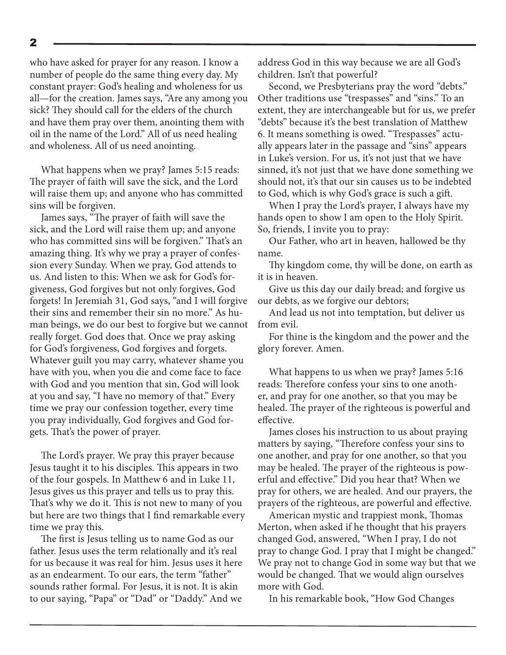who have asked for prayer for any reason. I know a number of people do the same thing every day. My constant prayer: God's healing and wholeness for us all—for the creation. James says, "Are any among you sick? They should call for the elders of the church and have them pray over them, anointing them with oil in the name of the Lord." All of us need healing and wholeness. All of us need anointing.

What happens when we pray? James 5:15 reads: The prayer of faith will save the sick, and the Lord will raise them up; and anyone who has committed sins will be forgiven.

James says, "The prayer of faith will save the sick, and the Lord will raise them up; and anyone who has committed sins will be forgiven." That's an amazing thing. It's why we pray a prayer of confession every Sunday. When we pray, God attends to us. And listen to this: When we ask for God's forgiveness, God forgives but not only forgives, God forgets! In Jeremiah 31, God says, "and I will forgive their sins and remember their sin no more." As human beings, we do our best to forgive but we cannot really forget. God does that. Once we pray asking for God's forgiveness, God forgives and forgets. Whatever guilt you may carry, whatever shame you have with you, when you die and come face to face with God and you mention that sin, God will look at you and say, "I have no memory of that." Every time we pray our confession together, every time you pray individually, God forgives and God forgets. That's the power of prayer.

The Lord's prayer. We pray this prayer because Jesus taught it to his disciples. This appears in two of the four gospels. In Matthew 6 and in Luke 11, Jesus gives us this prayer and tells us to pray this. That's why we do it. This is not new to many of you but here are two things that I find remarkable every time we pray this.

The first is Jesus telling us to name God as our father. Jesus uses the term relationally and it's real for us because it was real for him. Jesus uses it here as an endearment. To our ears, the term "father" sounds rather formal. For Jesus, it is not. It is akin to our saying, "Papa" or "Dad" or "Daddy." And we

address God in this way because we are all God's children. Isn't that powerful?

Second, we Presbyterians pray the word "debts." Other traditions use "trespasses" and "sins." To an extent, they are interchangeable but for us, we prefer "debts" because it's the best translation of Matthew 6. It means something is owed. "Trespasses" actually appears later in the passage and "sins" appears in Luke's version. For us, it's not just that we have sinned, it's not just that we have done something we should not, it's that our sin causes us to be indebted to God, which is why God's grace is such a gift.

When I pray the Lord's prayer, I always have my hands open to show I am open to the Holy Spirit. So, friends, I invite you to pray:

Our Father, who art in heaven, hallowed be thy name.

Thy kingdom come, thy will be done, on earth as it is in heaven.

Give us this day our daily bread; and forgive us our debts, as we forgive our debtors;

And lead us not into temptation, but deliver us from evil.

For thine is the kingdom and the power and the glory forever. Amen.

What happens to us when we pray? James 5:16 reads: Therefore confess your sins to one another, and pray for one another, so that you may be healed. The prayer of the righteous is powerful and effective.

James closes his instruction to us about praying matters by saying, "Therefore confess your sins to one another, and pray for one another, so that you may be healed. The prayer of the righteous is powerful and effective." Did you hear that? When we pray for others, we are healed. And our prayers, the prayers of the righteous, are powerful and effective.

American mystic and trappiest monk, Thomas Merton, when asked if he thought that his prayers changed God, answered, "When I pray, I do not pray to change God. I pray that I might be changed." We pray not to change God in some way but that we would be changed. That we would align ourselves more with God.

In his remarkable book, "How God Changes